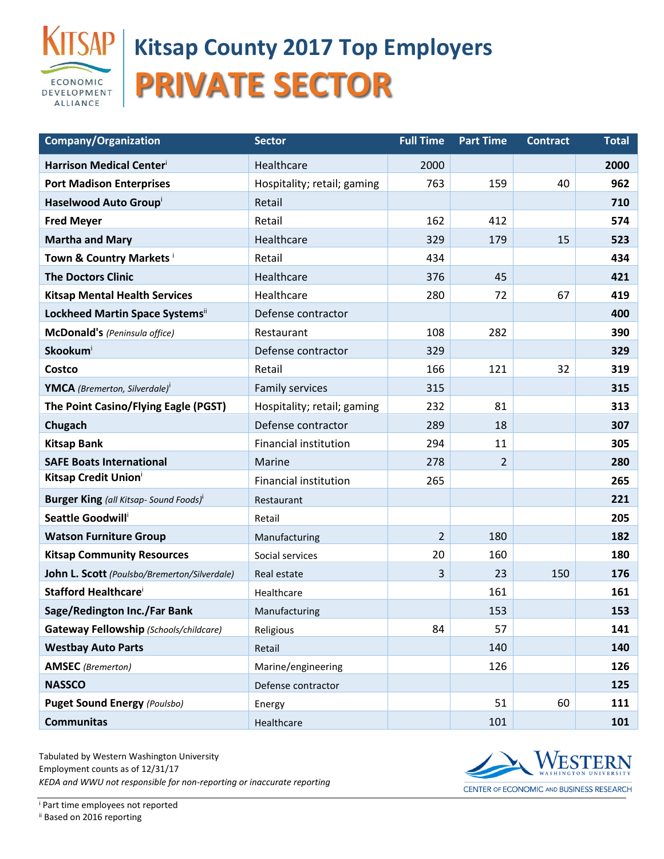

## **Kitsap County 2017 Top Employers PRIVATE SECTOR**

| <b>Company/Organization</b>                               | <b>Sector</b>                | <b>Full Time</b> | <b>Part Time</b> | <b>Contract</b> | <b>Total</b> |
|-----------------------------------------------------------|------------------------------|------------------|------------------|-----------------|--------------|
| Harrison Medical Centeri                                  | Healthcare                   | 2000             |                  |                 | 2000         |
| <b>Port Madison Enterprises</b>                           | Hospitality; retail; gaming  | 763              | 159              | 40              | 962          |
| Haselwood Auto Group                                      | Retail                       |                  |                  |                 | 710          |
| <b>Fred Meyer</b>                                         | Retail                       | 162              | 412              |                 | 574          |
| <b>Martha and Mary</b>                                    | Healthcare                   | 329              | 179              | 15              | 523          |
| Town & Country Markets i                                  | Retail                       | 434              |                  |                 | 434          |
| <b>The Doctors Clinic</b>                                 | Healthcare                   | 376              | 45               |                 | 421          |
| <b>Kitsap Mental Health Services</b>                      | Healthcare                   | 280              | 72               | 67              | 419          |
| Lockheed Martin Space Systemsii                           | Defense contractor           |                  |                  |                 | 400          |
| McDonald's (Peninsula office)                             | Restaurant                   | 108              | 282              |                 | 390          |
| Skookumi                                                  | Defense contractor           | 329              |                  |                 | 329          |
| Costco                                                    | Retail                       | 166              | 121              | 32              | 319          |
| <b>YMCA</b> (Bremerton, Silverdale) <sup>i</sup>          | <b>Family services</b>       | 315              |                  |                 | 315          |
| The Point Casino/Flying Eagle (PGST)                      | Hospitality; retail; gaming  | 232              | 81               |                 | 313          |
| Chugach                                                   | Defense contractor           | 289              | 18               |                 | 307          |
| <b>Kitsap Bank</b>                                        | <b>Financial institution</b> | 294              | 11               |                 | 305          |
| <b>SAFE Boats International</b>                           | Marine                       | 278              | $\overline{2}$   |                 | 280          |
| <b>Kitsap Credit Union</b>                                | <b>Financial institution</b> | 265              |                  |                 | 265          |
| <b>Burger King</b> (all Kitsap- Sound Foods) <sup>i</sup> | Restaurant                   |                  |                  |                 | 221          |
| Seattle Goodwill <sup>i</sup>                             | Retail                       |                  |                  |                 | 205          |
| <b>Watson Furniture Group</b>                             | Manufacturing                | $\overline{2}$   | 180              |                 | 182          |
| <b>Kitsap Community Resources</b>                         | Social services              | 20               | 160              |                 | 180          |
| John L. Scott (Poulsbo/Bremerton/Silverdale)              | Real estate                  | 3                | 23               | 150             | 176          |
| <b>Stafford Healthcare</b>                                | Healthcare                   |                  | 161              |                 | 161          |
| Sage/Redington Inc./Far Bank                              | Manufacturing                |                  | 153              |                 | 153          |
| Gateway Fellowship (Schools/childcare)                    | Religious                    | 84               | 57               |                 | 141          |
| <b>Westbay Auto Parts</b>                                 | Retail                       |                  | 140              |                 | 140          |
| <b>AMSEC</b> (Bremerton)                                  | Marine/engineering           |                  | 126              |                 | 126          |
| <b>NASSCO</b>                                             | Defense contractor           |                  |                  |                 | 125          |
| <b>Puget Sound Energy (Poulsbo)</b>                       | Energy                       |                  | 51               | 60              | 111          |
| <b>Communitas</b>                                         | Healthcare                   |                  | 101              |                 | 101          |

Tabulated by Western Washington University Employment counts as of 12/31/17 *KEDA and WWU not responsible for non-reporting or inaccurate reporting*



CENTER OF ECONOMIC AND BUSINESS RESEARCH

<sup>i</sup> Part time employees not reported ii Based on 2016 reporting